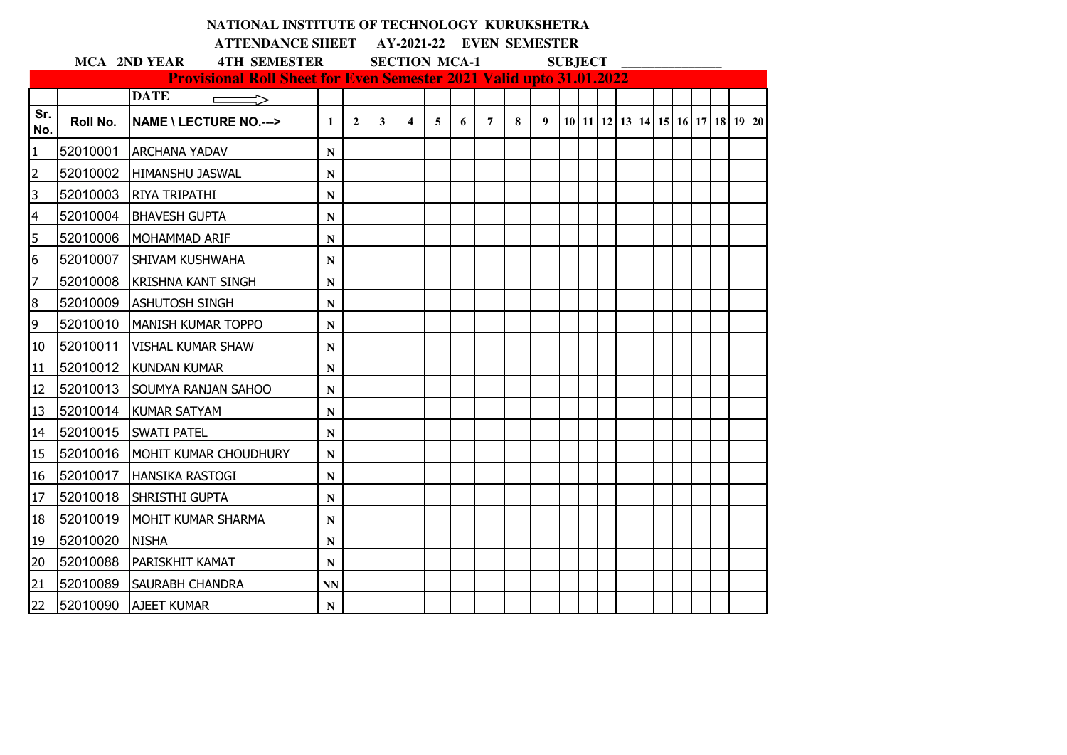|                          |          | NATIONAL INSTITUTE OF TECHNOLOGY KURUKSHETRA<br><b>ATTENDANCE SHEET</b>    |              |                |              |                         |   |   | AY-2021-22 EVEN SEMESTER |   |   |                |  |  |  |                                                      |  |
|--------------------------|----------|----------------------------------------------------------------------------|--------------|----------------|--------------|-------------------------|---|---|--------------------------|---|---|----------------|--|--|--|------------------------------------------------------|--|
|                          |          | <b>4TH SEMESTER</b><br><b>MCA 2ND YEAR</b>                                 |              |                |              | <b>SECTION MCA-1</b>    |   |   |                          |   |   | <b>SUBJECT</b> |  |  |  |                                                      |  |
|                          |          | <b>Provisional Roll Sheet for Even Semester 2021 Valid upto 31.01.2022</b> |              |                |              |                         |   |   |                          |   |   |                |  |  |  |                                                      |  |
|                          |          | <b>DATE</b>                                                                |              |                |              |                         |   |   |                          |   |   |                |  |  |  |                                                      |  |
| Sr.<br>No.               | Roll No. | <b>NAME \ LECTURE NO.---&gt;</b>                                           | $\mathbf{1}$ | $\overline{2}$ | $\mathbf{3}$ | $\overline{\mathbf{4}}$ | 5 | 6 | $\overline{7}$           | 8 | 9 |                |  |  |  | 10   11   12   13   14   15   16   17   18   19   20 |  |
| $\overline{1}$           | 52010001 | <b>ARCHANA YADAV</b>                                                       | ${\bf N}$    |                |              |                         |   |   |                          |   |   |                |  |  |  |                                                      |  |
| $\overline{2}$           | 52010002 | <b>HIMANSHU JASWAL</b>                                                     | ${\bf N}$    |                |              |                         |   |   |                          |   |   |                |  |  |  |                                                      |  |
| $\overline{3}$           | 52010003 | <b>RIYA TRIPATHI</b>                                                       | ${\bf N}$    |                |              |                         |   |   |                          |   |   |                |  |  |  |                                                      |  |
| $\overline{\mathcal{A}}$ | 52010004 | <b>BHAVESH GUPTA</b>                                                       | ${\bf N}$    |                |              |                         |   |   |                          |   |   |                |  |  |  |                                                      |  |
| $\overline{5}$           | 52010006 | MOHAMMAD ARIF                                                              | $\mathbf N$  |                |              |                         |   |   |                          |   |   |                |  |  |  |                                                      |  |
| $\overline{6}$           | 52010007 | <b>SHIVAM KUSHWAHA</b>                                                     | ${\bf N}$    |                |              |                         |   |   |                          |   |   |                |  |  |  |                                                      |  |
| 7                        | 52010008 | <b>KRISHNA KANT SINGH</b>                                                  | $\mathbf N$  |                |              |                         |   |   |                          |   |   |                |  |  |  |                                                      |  |
| $\infty$                 | 52010009 | <b>ASHUTOSH SINGH</b>                                                      | ${\bf N}$    |                |              |                         |   |   |                          |   |   |                |  |  |  |                                                      |  |
| $\overline{9}$           | 52010010 | <b>MANISH KUMAR TOPPO</b>                                                  | $\mathbf N$  |                |              |                         |   |   |                          |   |   |                |  |  |  |                                                      |  |
| 10                       | 52010011 | <b>VISHAL KUMAR SHAW</b>                                                   | ${\bf N}$    |                |              |                         |   |   |                          |   |   |                |  |  |  |                                                      |  |
| 11                       | 52010012 | <b>KUNDAN KUMAR</b>                                                        | N            |                |              |                         |   |   |                          |   |   |                |  |  |  |                                                      |  |
| 12                       | 52010013 | <b>SOUMYA RANJAN SAHOO</b>                                                 | ${\bf N}$    |                |              |                         |   |   |                          |   |   |                |  |  |  |                                                      |  |
| 13                       |          | 52010014 KUMAR SATYAM                                                      | N            |                |              |                         |   |   |                          |   |   |                |  |  |  |                                                      |  |
| 14                       | 52010015 | <b>SWATI PATEL</b>                                                         | ${\bf N}$    |                |              |                         |   |   |                          |   |   |                |  |  |  |                                                      |  |
| 15                       | 52010016 | MOHIT KUMAR CHOUDHURY                                                      | ${\bf N}$    |                |              |                         |   |   |                          |   |   |                |  |  |  |                                                      |  |
| 16                       | 52010017 | <b>HANSIKA RASTOGI</b>                                                     | ${\bf N}$    |                |              |                         |   |   |                          |   |   |                |  |  |  |                                                      |  |
| 17                       | 52010018 | SHRISTHI GUPTA                                                             | ${\bf N}$    |                |              |                         |   |   |                          |   |   |                |  |  |  |                                                      |  |
| 18                       | 52010019 | MOHIT KUMAR SHARMA                                                         | N            |                |              |                         |   |   |                          |   |   |                |  |  |  |                                                      |  |
| 19                       | 52010020 | <b>NISHA</b>                                                               | N            |                |              |                         |   |   |                          |   |   |                |  |  |  |                                                      |  |
| 20                       | 52010088 | <b>IPARISKHIT KAMAT</b>                                                    | $\mathbf N$  |                |              |                         |   |   |                          |   |   |                |  |  |  |                                                      |  |
| 21                       | 52010089 | <b>SAURABH CHANDRA</b>                                                     | <b>NN</b>    |                |              |                         |   |   |                          |   |   |                |  |  |  |                                                      |  |
| 22                       | 52010090 | <b>AJEET KUMAR</b>                                                         | N            |                |              |                         |   |   |                          |   |   |                |  |  |  |                                                      |  |

## **NATIONAL INSTITUTE OF TECHNOLOGY KURUKSHETRA**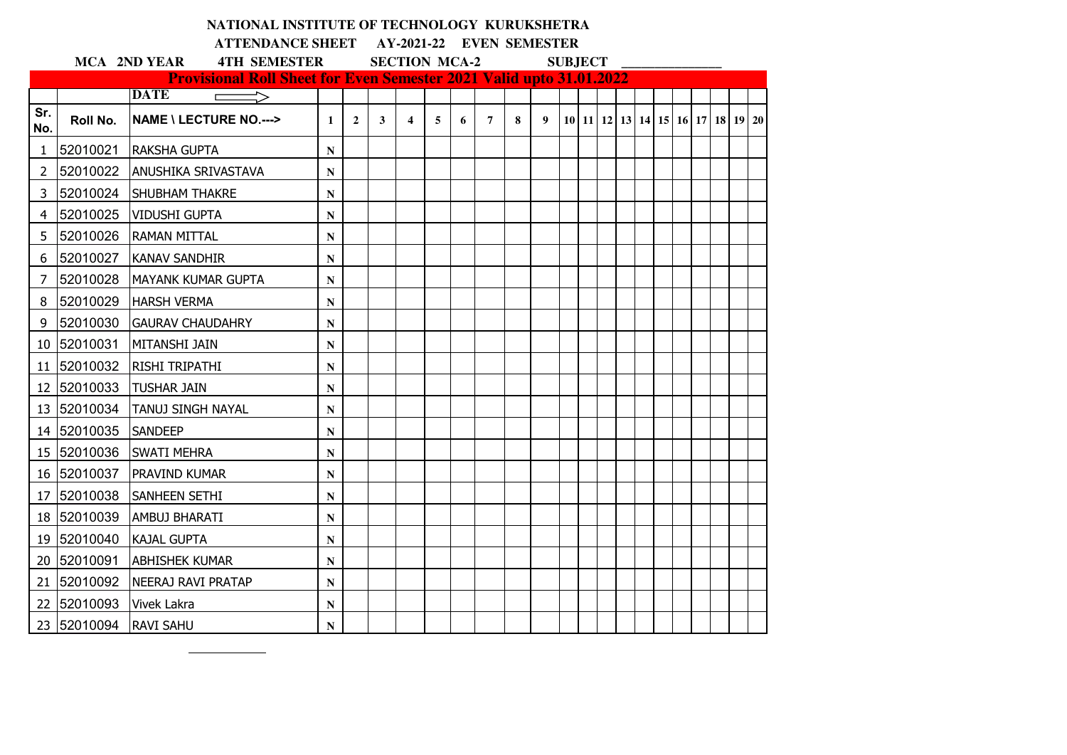|                |             | NATIONAL INSTITUTE OF TECHNOLOGY KURUKSHETRA                                                                             |              |                |                      |                         |   |                          |                |   |                  |                |  |  |  |                                                      |  |
|----------------|-------------|--------------------------------------------------------------------------------------------------------------------------|--------------|----------------|----------------------|-------------------------|---|--------------------------|----------------|---|------------------|----------------|--|--|--|------------------------------------------------------|--|
|                |             | <b>ATTENDANCE SHEET</b>                                                                                                  |              |                |                      |                         |   | AY-2021-22 EVEN SEMESTER |                |   |                  |                |  |  |  |                                                      |  |
|                |             | <b>4TH SEMESTER</b><br><b>MCA 2ND YEAR</b><br><b>Provisional Roll Sheet for Even Semester 2021 Valid upto 31.01.2022</b> |              |                | <b>SECTION MCA-2</b> |                         |   |                          |                |   |                  | <b>SUBJECT</b> |  |  |  |                                                      |  |
|                |             | <b>DATE</b><br>$\Rightarrow$<br>$\Box$                                                                                   |              |                |                      |                         |   |                          |                |   |                  |                |  |  |  |                                                      |  |
| Sr.<br>No.     | Roll No.    | <b>NAME \ LECTURE NO.---&gt;</b>                                                                                         | $\mathbf{1}$ | $\overline{2}$ | 3                    | $\overline{\mathbf{4}}$ | 5 | 6                        | $\overline{7}$ | 8 | $\boldsymbol{9}$ |                |  |  |  | 10   11   12   13   14   15   16   17   18   19   20 |  |
| 1              | 52010021    | <b>RAKSHA GUPTA</b>                                                                                                      | N            |                |                      |                         |   |                          |                |   |                  |                |  |  |  |                                                      |  |
| $\overline{2}$ | 52010022    | <b>ANUSHIKA SRIVASTAVA</b>                                                                                               | ${\bf N}$    |                |                      |                         |   |                          |                |   |                  |                |  |  |  |                                                      |  |
| $\overline{3}$ | 52010024    | <b>SHUBHAM THAKRE</b>                                                                                                    | ${\bf N}$    |                |                      |                         |   |                          |                |   |                  |                |  |  |  |                                                      |  |
| 4              | 52010025    | <b>VIDUSHI GUPTA</b>                                                                                                     | ${\bf N}$    |                |                      |                         |   |                          |                |   |                  |                |  |  |  |                                                      |  |
| 5              | 52010026    | <b>RAMAN MITTAL</b>                                                                                                      | N            |                |                      |                         |   |                          |                |   |                  |                |  |  |  |                                                      |  |
| 6              |             | 52010027 KANAV SANDHIR                                                                                                   | $\mathbf N$  |                |                      |                         |   |                          |                |   |                  |                |  |  |  |                                                      |  |
| 7              | 52010028    | <b>IMAYANK KUMAR GUPTA</b>                                                                                               | ${\bf N}$    |                |                      |                         |   |                          |                |   |                  |                |  |  |  |                                                      |  |
| 8              | 52010029    | <b>HARSH VERMA</b>                                                                                                       | ${\bf N}$    |                |                      |                         |   |                          |                |   |                  |                |  |  |  |                                                      |  |
| 9              | 52010030    | <b>GAURAV CHAUDAHRY</b>                                                                                                  | $\mathbf N$  |                |                      |                         |   |                          |                |   |                  |                |  |  |  |                                                      |  |
|                | 10 52010031 | <b>MITANSHI JAIN</b>                                                                                                     | N            |                |                      |                         |   |                          |                |   |                  |                |  |  |  |                                                      |  |
|                | 11 52010032 | <b>RISHI TRIPATHI</b>                                                                                                    | N            |                |                      |                         |   |                          |                |   |                  |                |  |  |  |                                                      |  |
|                | 12 52010033 | <b>TUSHAR JAIN</b>                                                                                                       | ${\bf N}$    |                |                      |                         |   |                          |                |   |                  |                |  |  |  |                                                      |  |
|                | 13 52010034 | <b>TANUJ SINGH NAYAL</b>                                                                                                 | N            |                |                      |                         |   |                          |                |   |                  |                |  |  |  |                                                      |  |
|                | 14 52010035 | <b>SANDEEP</b>                                                                                                           | N            |                |                      |                         |   |                          |                |   |                  |                |  |  |  |                                                      |  |
|                | 15 52010036 | <b>SWATI MEHRA</b>                                                                                                       | ${\bf N}$    |                |                      |                         |   |                          |                |   |                  |                |  |  |  |                                                      |  |
|                | 16 52010037 | <b>PRAVIND KUMAR</b>                                                                                                     | N            |                |                      |                         |   |                          |                |   |                  |                |  |  |  |                                                      |  |
| 17             | 52010038    | <b>SANHEEN SETHI</b>                                                                                                     | N            |                |                      |                         |   |                          |                |   |                  |                |  |  |  |                                                      |  |
|                | 18 52010039 | <b>AMBUJ BHARATI</b>                                                                                                     | $\mathbf N$  |                |                      |                         |   |                          |                |   |                  |                |  |  |  |                                                      |  |
|                | 19 52010040 | <b>KAJAL GUPTA</b>                                                                                                       | ${\bf N}$    |                |                      |                         |   |                          |                |   |                  |                |  |  |  |                                                      |  |
|                | 20 52010091 | <b>ABHISHEK KUMAR</b>                                                                                                    | ${\bf N}$    |                |                      |                         |   |                          |                |   |                  |                |  |  |  |                                                      |  |
| 21             | 52010092    | NEERAJ RAVI PRATAP                                                                                                       | N            |                |                      |                         |   |                          |                |   |                  |                |  |  |  |                                                      |  |
|                | 22 52010093 | <b>Vivek Lakra</b>                                                                                                       | $\mathbf N$  |                |                      |                         |   |                          |                |   |                  |                |  |  |  |                                                      |  |
|                | 23 52010094 | <b>RAVI SAHU</b>                                                                                                         | N            |                |                      |                         |   |                          |                |   |                  |                |  |  |  |                                                      |  |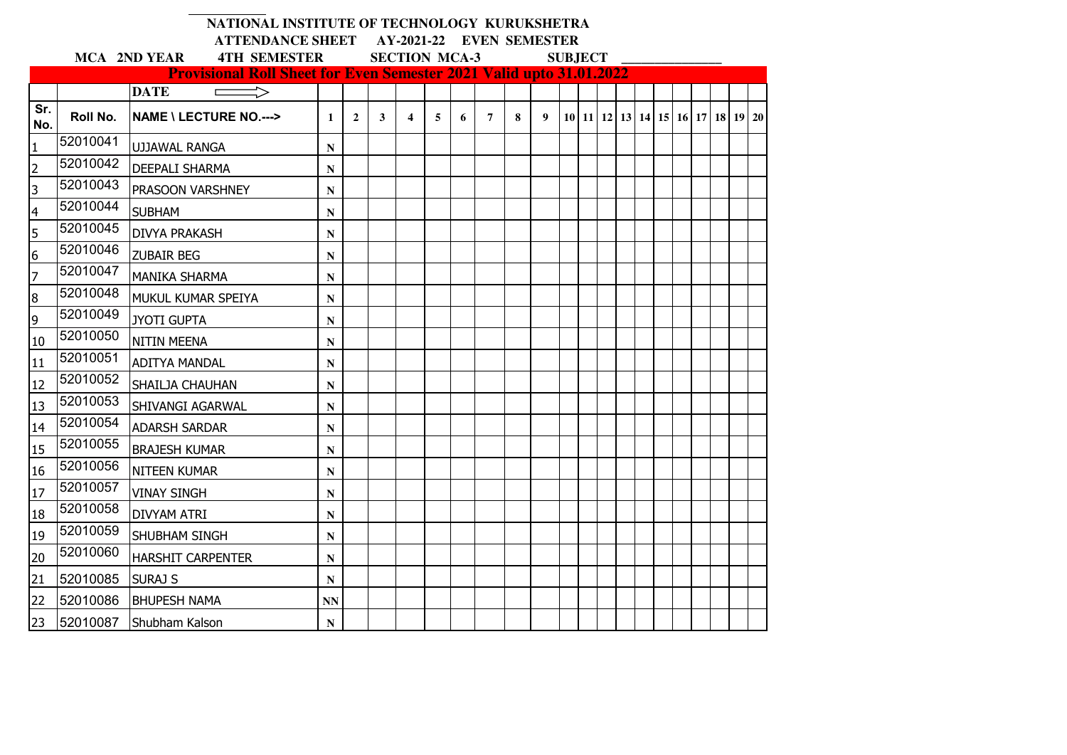|                |          | NATIONAL INSTITUTE OF TECHNOLOGY KURUKSHETRA                                                                      |                                                  |                |   |                         |   |   |                |   |                  |                |  |  |  |                                  |  |
|----------------|----------|-------------------------------------------------------------------------------------------------------------------|--------------------------------------------------|----------------|---|-------------------------|---|---|----------------|---|------------------|----------------|--|--|--|----------------------------------|--|
|                |          | <b>ATTENDANCE SHEET</b>                                                                                           | AY-2021-22 EVEN SEMESTER<br><b>SECTION MCA-3</b> |                |   |                         |   |   |                |   |                  |                |  |  |  |                                  |  |
|                |          | <b>4TH SEMESTER</b><br>MCA 2ND YEAR<br><b>Provisional Roll Sheet for Even Semester 2021 Valid upto 31.01.2022</b> |                                                  |                |   |                         |   |   |                |   |                  | <b>SUBJECT</b> |  |  |  |                                  |  |
|                |          | <b>DATE</b>                                                                                                       |                                                  |                |   |                         |   |   |                |   |                  |                |  |  |  |                                  |  |
| Sr.<br>No.     | Roll No. | <b>NAME \ LECTURE NO.---&gt;</b>                                                                                  | $\mathbf{1}$                                     | $\overline{2}$ | 3 | $\overline{\mathbf{4}}$ | 5 | 6 | $\overline{7}$ | 8 | $\boldsymbol{9}$ |                |  |  |  | 10 11 12 13 14 15 16 17 18 19 20 |  |
| $\mathbf{1}$   | 52010041 | <b>UJJAWAL RANGA</b>                                                                                              | N                                                |                |   |                         |   |   |                |   |                  |                |  |  |  |                                  |  |
| $\overline{2}$ | 52010042 | <b>DEEPALI SHARMA</b>                                                                                             | ${\bf N}$                                        |                |   |                         |   |   |                |   |                  |                |  |  |  |                                  |  |
| 3              | 52010043 | PRASOON VARSHNEY                                                                                                  | N                                                |                |   |                         |   |   |                |   |                  |                |  |  |  |                                  |  |
| 4              | 52010044 | <b>SUBHAM</b>                                                                                                     | N                                                |                |   |                         |   |   |                |   |                  |                |  |  |  |                                  |  |
| 5              | 52010045 | <b>DIVYA PRAKASH</b>                                                                                              | ${\bf N}$                                        |                |   |                         |   |   |                |   |                  |                |  |  |  |                                  |  |
| $\overline{6}$ | 52010046 | <b>ZUBAIR BEG</b>                                                                                                 | N                                                |                |   |                         |   |   |                |   |                  |                |  |  |  |                                  |  |
| $\overline{7}$ | 52010047 | <b>MANIKA SHARMA</b>                                                                                              | ${\bf N}$                                        |                |   |                         |   |   |                |   |                  |                |  |  |  |                                  |  |
| $\bf 8$        | 52010048 | MUKUL KUMAR SPEIYA                                                                                                | ${\bf N}$                                        |                |   |                         |   |   |                |   |                  |                |  |  |  |                                  |  |
| 9              | 52010049 | <b>JYOTI GUPTA</b>                                                                                                | N                                                |                |   |                         |   |   |                |   |                  |                |  |  |  |                                  |  |
| 10             | 52010050 | <b>NITIN MEENA</b>                                                                                                | $\mathbf N$                                      |                |   |                         |   |   |                |   |                  |                |  |  |  |                                  |  |
| 11             | 52010051 | <b>ADITYA MANDAL</b>                                                                                              | ${\bf N}$                                        |                |   |                         |   |   |                |   |                  |                |  |  |  |                                  |  |
| 12             | 52010052 | SHAILJA CHAUHAN                                                                                                   | N                                                |                |   |                         |   |   |                |   |                  |                |  |  |  |                                  |  |
| 13             | 52010053 | <b>SHIVANGI AGARWAL</b>                                                                                           | $\mathbf N$                                      |                |   |                         |   |   |                |   |                  |                |  |  |  |                                  |  |
| 14             | 52010054 | <b>ADARSH SARDAR</b>                                                                                              | N                                                |                |   |                         |   |   |                |   |                  |                |  |  |  |                                  |  |
| 15             | 52010055 | <b>BRAJESH KUMAR</b>                                                                                              | N                                                |                |   |                         |   |   |                |   |                  |                |  |  |  |                                  |  |
| 16             | 52010056 | <b>NITEEN KUMAR</b>                                                                                               | N                                                |                |   |                         |   |   |                |   |                  |                |  |  |  |                                  |  |
| 17             | 52010057 | <b>VINAY SINGH</b>                                                                                                | ${\bf N}$                                        |                |   |                         |   |   |                |   |                  |                |  |  |  |                                  |  |
| 18             | 52010058 | <b>DIVYAM ATRI</b>                                                                                                | N                                                |                |   |                         |   |   |                |   |                  |                |  |  |  |                                  |  |
| 19             | 52010059 | <b>SHUBHAM SINGH</b>                                                                                              | N                                                |                |   |                         |   |   |                |   |                  |                |  |  |  |                                  |  |
| 20             | 52010060 | <b>HARSHIT CARPENTER</b>                                                                                          | N                                                |                |   |                         |   |   |                |   |                  |                |  |  |  |                                  |  |
| 21             | 52010085 | <b>SURAJ S</b>                                                                                                    | ${\bf N}$                                        |                |   |                         |   |   |                |   |                  |                |  |  |  |                                  |  |
| 22             | 52010086 | <b>BHUPESH NAMA</b>                                                                                               | <b>NN</b>                                        |                |   |                         |   |   |                |   |                  |                |  |  |  |                                  |  |
| 23             | 52010087 | Shubham Kalson                                                                                                    | ${\bf N}$                                        |                |   |                         |   |   |                |   |                  |                |  |  |  |                                  |  |